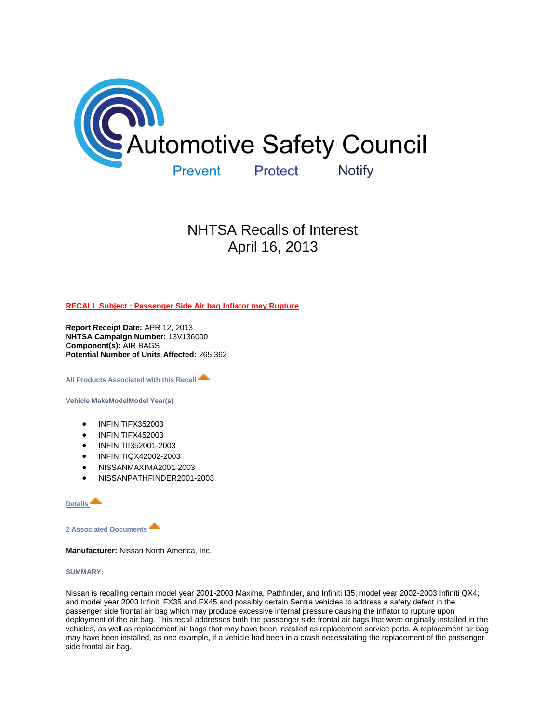

# NHTSA Recalls of Interest April 16, 2013

**[RECALL Subject : Passenger Side Air bag Inflator may Rupture](http://www-odi.nhtsa.dot.gov/owners/SearchResults.action?searchType=ID&targetCategory=R&searchCriteria.nhtsa_ids=13V136&refurl=email)**

**Report Receipt Date:** APR 12, 2013 **NHTSA Campaign Number:** 13V136000 **Component(s):** AIR BAGS **Potential Number of Units Affected:** 265,362

**[All Products Associated with this Recall](http://www-odi.nhtsa.dot.gov/owners/SearchResults.action?searchType=ID&targetCategory=R&searchCriteria.nhtsa_ids=13V136&refurl=email)** 

**Vehicle MakeModelModel Year(s)**

- INFINITIFX352003
- INFINITIFX452003
- INFINITII352001-2003
- INFINITIQX42002-2003
- NISSANMAXIMA2001-2003
- NISSANPATHFINDER2001-2003

**[Details](http://www-odi.nhtsa.dot.gov/owners/SearchResults.action?searchType=ID&targetCategory=R&searchCriteria.nhtsa_ids=13V136&refurl=email)**

**[2 Associated Documents](http://www-odi.nhtsa.dot.gov/owners/SearchResults.action?searchType=ID&targetCategory=R&searchCriteria.nhtsa_ids=13V136&refurl=email)** 

**Manufacturer:** Nissan North America, Inc.

# **SUMMARY:**

Nissan is recalling certain model year 2001-2003 Maxima, Pathfinder, and Infiniti I35; model year 2002-2003 Infiniti QX4; and model year 2003 Infiniti FX35 and FX45 and possibly certain Sentra vehicles to address a safety defect in the passenger side frontal air bag which may produce excessive internal pressure causing the inflator to rupture upon deployment of the air bag. This recall addresses both the passenger side frontal air bags that were originally installed in the vehicles, as well as replacement air bags that may have been installed as replacement service parts. A replacement air bag may have been installed, as one example, if a vehicle had been in a crash necessitating the replacement of the passenger side frontal air bag.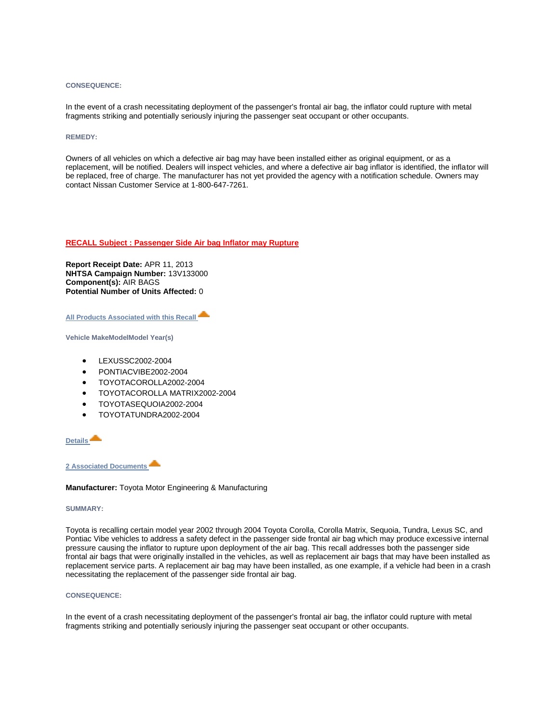## **CONSEQUENCE:**

In the event of a crash necessitating deployment of the passenger's frontal air bag, the inflator could rupture with metal fragments striking and potentially seriously injuring the passenger seat occupant or other occupants.

## **REMEDY:**

Owners of all vehicles on which a defective air bag may have been installed either as original equipment, or as a replacement, will be notified. Dealers will inspect vehicles, and where a defective air bag inflator is identified, the inflator will be replaced, free of charge. The manufacturer has not yet provided the agency with a notification schedule. Owners may contact Nissan Customer Service at 1-800-647-7261.

## **[RECALL Subject : Passenger Side Air bag Inflator may Rupture](http://www-odi.nhtsa.dot.gov/owners/SearchResults.action?searchType=ID&targetCategory=R&searchCriteria.nhtsa_ids=13V133&refurl=email)**

**Report Receipt Date:** APR 11, 2013 **NHTSA Campaign Number:** 13V133000 **Component(s):** AIR BAGS **Potential Number of Units Affected:** 0

**[All Products Associated with this Recall](http://www-odi.nhtsa.dot.gov/owners/SearchResults.action?searchType=ID&targetCategory=R&searchCriteria.nhtsa_ids=13V133&refurl=email)** 

**Vehicle MakeModelModel Year(s)**

- LEXUSSC2002-2004
- PONTIACVIBE2002-2004
- TOYOTACOROLLA2002-2004
- TOYOTACOROLLA MATRIX2002-2004
- TOYOTASEQUOIA2002-2004
- TOYOTATUNDRA2002-2004

**[Details](http://www-odi.nhtsa.dot.gov/owners/SearchResults.action?searchType=ID&targetCategory=R&searchCriteria.nhtsa_ids=13V133&refurl=email)**

**[2 Associated Documents](http://www-odi.nhtsa.dot.gov/owners/SearchResults.action?searchType=ID&targetCategory=R&searchCriteria.nhtsa_ids=13V133&refurl=email)** 

**Manufacturer:** Toyota Motor Engineering & Manufacturing

#### **SUMMARY:**

Toyota is recalling certain model year 2002 through 2004 Toyota Corolla, Corolla Matrix, Sequoia, Tundra, Lexus SC, and Pontiac Vibe vehicles to address a safety defect in the passenger side frontal air bag which may produce excessive internal pressure causing the inflator to rupture upon deployment of the air bag. This recall addresses both the passenger side frontal air bags that were originally installed in the vehicles, as well as replacement air bags that may have been installed as replacement service parts. A replacement air bag may have been installed, as one example, if a vehicle had been in a crash necessitating the replacement of the passenger side frontal air bag.

# **CONSEQUENCE:**

In the event of a crash necessitating deployment of the passenger's frontal air bag, the inflator could rupture with metal fragments striking and potentially seriously injuring the passenger seat occupant or other occupants.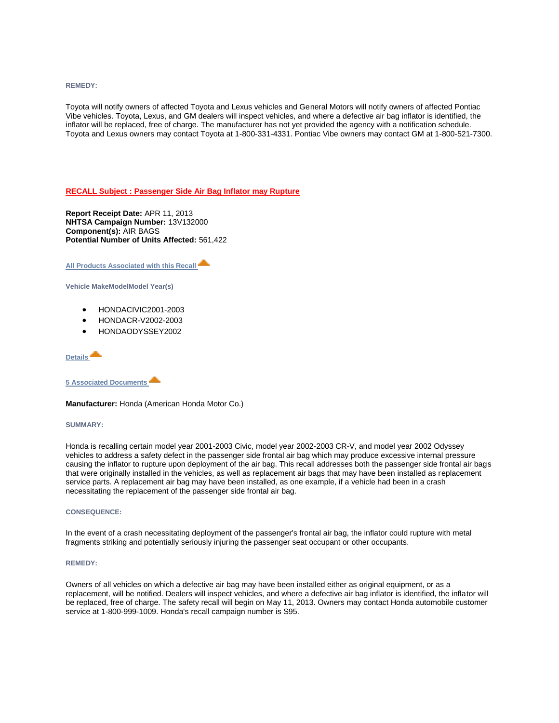**REMEDY:**

Toyota will notify owners of affected Toyota and Lexus vehicles and General Motors will notify owners of affected Pontiac Vibe vehicles. Toyota, Lexus, and GM dealers will inspect vehicles, and where a defective air bag inflator is identified, the inflator will be replaced, free of charge. The manufacturer has not yet provided the agency with a notification schedule. Toyota and Lexus owners may contact Toyota at 1-800-331-4331. Pontiac Vibe owners may contact GM at 1-800-521-7300.

# **[RECALL Subject : Passenger Side Air Bag Inflator may Rupture](http://www-odi.nhtsa.dot.gov/owners/SearchResults.action?searchType=ID&targetCategory=R&searchCriteria.nhtsa_ids=13V132&refurl=email)**

**Report Receipt Date:** APR 11, 2013 **NHTSA Campaign Number:** 13V132000 **Component(s):** AIR BAGS **Potential Number of Units Affected:** 561,422

**[All Products Associated with this Recall](http://www-odi.nhtsa.dot.gov/owners/SearchResults.action?searchType=ID&targetCategory=R&searchCriteria.nhtsa_ids=13V132&refurl=email)** 

**Vehicle MakeModelModel Year(s)**

- HONDACIVIC2001-2003
- HONDACR-V2002-2003
- HONDAODYSSEY2002

# **[Details](http://www-odi.nhtsa.dot.gov/owners/SearchResults.action?searchType=ID&targetCategory=R&searchCriteria.nhtsa_ids=13V132&refurl=email)**

**[5 Associated Documents](http://www-odi.nhtsa.dot.gov/owners/SearchResults.action?searchType=ID&targetCategory=R&searchCriteria.nhtsa_ids=13V132&refurl=email)** 

**Manufacturer:** Honda (American Honda Motor Co.)

#### **SUMMARY:**

Honda is recalling certain model year 2001-2003 Civic, model year 2002-2003 CR-V, and model year 2002 Odyssey vehicles to address a safety defect in the passenger side frontal air bag which may produce excessive internal pressure causing the inflator to rupture upon deployment of the air bag. This recall addresses both the passenger side frontal air bags that were originally installed in the vehicles, as well as replacement air bags that may have been installed as replacement service parts. A replacement air bag may have been installed, as one example, if a vehicle had been in a crash necessitating the replacement of the passenger side frontal air bag.

# **CONSEQUENCE:**

In the event of a crash necessitating deployment of the passenger's frontal air bag, the inflator could rupture with metal fragments striking and potentially seriously injuring the passenger seat occupant or other occupants.

## **REMEDY:**

Owners of all vehicles on which a defective air bag may have been installed either as original equipment, or as a replacement, will be notified. Dealers will inspect vehicles, and where a defective air bag inflator is identified, the inflator will be replaced, free of charge. The safety recall will begin on May 11, 2013. Owners may contact Honda automobile customer service at 1-800-999-1009. Honda's recall campaign number is S95.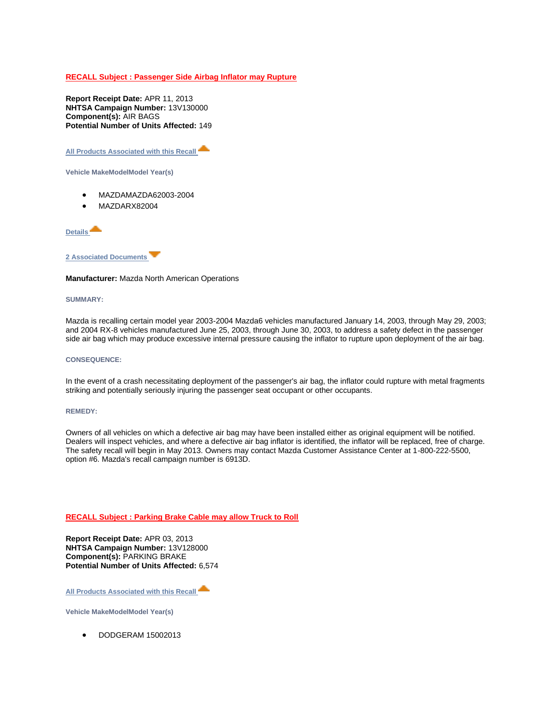# **[RECALL Subject : Passenger Side Airbag Inflator may Rupture](http://www-odi.nhtsa.dot.gov/owners/SearchResults.action?searchType=ID&targetCategory=R&searchCriteria.nhtsa_ids=13V130&refurl=email)**

**Report Receipt Date:** APR 11, 2013 **NHTSA Campaign Number:** 13V130000 **Component(s):** AIR BAGS **Potential Number of Units Affected:** 149

**[All Products Associated with this Recall](http://www-odi.nhtsa.dot.gov/owners/SearchResults.action?searchType=ID&targetCategory=R&searchCriteria.nhtsa_ids=13V130&refurl=email)** 

**Vehicle MakeModelModel Year(s)**

- MAZDAMAZDA62003-2004
- MAZDARX82004

**[Details](http://www-odi.nhtsa.dot.gov/owners/SearchResults.action?searchType=ID&targetCategory=R&searchCriteria.nhtsa_ids=13V130&refurl=email)**



# **Manufacturer:** Mazda North American Operations

## **SUMMARY:**

Mazda is recalling certain model year 2003-2004 Mazda6 vehicles manufactured January 14, 2003, through May 29, 2003; and 2004 RX-8 vehicles manufactured June 25, 2003, through June 30, 2003, to address a safety defect in the passenger side air bag which may produce excessive internal pressure causing the inflator to rupture upon deployment of the air bag.

## **CONSEQUENCE:**

In the event of a crash necessitating deployment of the passenger's air bag, the inflator could rupture with metal fragments striking and potentially seriously injuring the passenger seat occupant or other occupants.

## **REMEDY:**

Owners of all vehicles on which a defective air bag may have been installed either as original equipment will be notified. Dealers will inspect vehicles, and where a defective air bag inflator is identified, the inflator will be replaced, free of charge. The safety recall will begin in May 2013. Owners may contact Mazda Customer Assistance Center at 1-800-222-5500, option #6. Mazda's recall campaign number is 6913D.

# **[RECALL Subject : Parking Brake Cable may allow Truck to Roll](http://www-odi.nhtsa.dot.gov/owners/SearchResults.action?searchType=ID&targetCategory=R&searchCriteria.nhtsa_ids=13V128&refurl=email)**

**Report Receipt Date:** APR 03, 2013 **NHTSA Campaign Number:** 13V128000 **Component(s):** PARKING BRAKE **Potential Number of Units Affected:** 6,574

**[All Products Associated with this Recall](http://www-odi.nhtsa.dot.gov/owners/SearchResults.action?searchType=ID&targetCategory=R&searchCriteria.nhtsa_ids=13V128&refurl=email)** 

**Vehicle MakeModelModel Year(s)**

• DODGERAM 15002013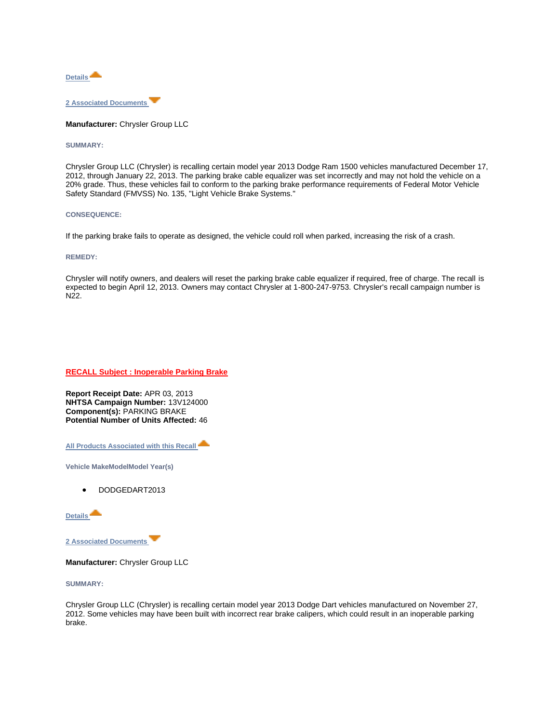

**Manufacturer:** Chrysler Group LLC

# **SUMMARY:**

Chrysler Group LLC (Chrysler) is recalling certain model year 2013 Dodge Ram 1500 vehicles manufactured December 17, 2012, through January 22, 2013. The parking brake cable equalizer was set incorrectly and may not hold the vehicle on a 20% grade. Thus, these vehicles fail to conform to the parking brake performance requirements of Federal Motor Vehicle Safety Standard (FMVSS) No. 135, "Light Vehicle Brake Systems."

## **CONSEQUENCE:**

If the parking brake fails to operate as designed, the vehicle could roll when parked, increasing the risk of a crash.

## **REMEDY:**

Chrysler will notify owners, and dealers will reset the parking brake cable equalizer if required, free of charge. The recall is expected to begin April 12, 2013. Owners may contact Chrysler at 1-800-247-9753. Chrysler's recall campaign number is N22.

**[RECALL Subject : Inoperable Parking Brake](http://www-odi.nhtsa.dot.gov/owners/SearchResults.action?searchType=ID&targetCategory=R&searchCriteria.nhtsa_ids=13V124&refurl=email)** 

**Report Receipt Date:** APR 03, 2013 **NHTSA Campaign Number:** 13V124000 **Component(s):** PARKING BRAKE **Potential Number of Units Affected:** 46

**[All Products Associated with this Recall](http://www-odi.nhtsa.dot.gov/owners/SearchResults.action?searchType=ID&targetCategory=R&searchCriteria.nhtsa_ids=13V124&refurl=email)** 

**Vehicle MakeModelModel Year(s)**

• DODGEDART2013

**[Details](http://www-odi.nhtsa.dot.gov/owners/SearchResults.action?searchType=ID&targetCategory=R&searchCriteria.nhtsa_ids=13V124&refurl=email)**

**[2 Associated Documents](http://www-odi.nhtsa.dot.gov/owners/SearchResults.action?searchType=ID&targetCategory=R&searchCriteria.nhtsa_ids=13V124&refurl=email)** 

**Manufacturer:** Chrysler Group LLC

**SUMMARY:**

Chrysler Group LLC (Chrysler) is recalling certain model year 2013 Dodge Dart vehicles manufactured on November 27, 2012. Some vehicles may have been built with incorrect rear brake calipers, which could result in an inoperable parking brake.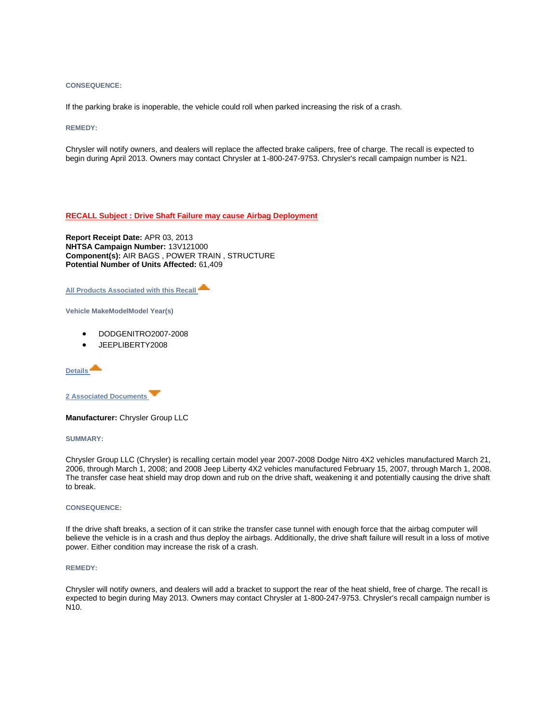## **CONSEQUENCE:**

If the parking brake is inoperable, the vehicle could roll when parked increasing the risk of a crash.

## **REMEDY:**

Chrysler will notify owners, and dealers will replace the affected brake calipers, free of charge. The recall is expected to begin during April 2013. Owners may contact Chrysler at 1-800-247-9753. Chrysler's recall campaign number is N21.

# **[RECALL Subject : Drive Shaft Failure may cause Airbag Deployment](http://www-odi.nhtsa.dot.gov/owners/SearchResults.action?searchType=ID&targetCategory=R&searchCriteria.nhtsa_ids=13V121&refurl=email)**

**Report Receipt Date:** APR 03, 2013 **NHTSA Campaign Number:** 13V121000 **Component(s):** AIR BAGS , POWER TRAIN , STRUCTURE **Potential Number of Units Affected:** 61,409

**[All Products Associated with this Recall](http://www-odi.nhtsa.dot.gov/owners/SearchResults.action?searchType=ID&targetCategory=R&searchCriteria.nhtsa_ids=13V121&refurl=email)** 

**Vehicle MakeModelModel Year(s)**

- DODGENITRO2007-2008
- JEEPLIBERTY2008

**[Details](http://www-odi.nhtsa.dot.gov/owners/SearchResults.action?searchType=ID&targetCategory=R&searchCriteria.nhtsa_ids=13V121&refurl=email)**

**[2 Associated Documents](http://www-odi.nhtsa.dot.gov/owners/SearchResults.action?searchType=ID&targetCategory=R&searchCriteria.nhtsa_ids=13V121&refurl=email)** 

**Manufacturer:** Chrysler Group LLC

**SUMMARY:**

Chrysler Group LLC (Chrysler) is recalling certain model year 2007-2008 Dodge Nitro 4X2 vehicles manufactured March 21, 2006, through March 1, 2008; and 2008 Jeep Liberty 4X2 vehicles manufactured February 15, 2007, through March 1, 2008. The transfer case heat shield may drop down and rub on the drive shaft, weakening it and potentially causing the drive shaft to break.

## **CONSEQUENCE:**

If the drive shaft breaks, a section of it can strike the transfer case tunnel with enough force that the airbag computer will believe the vehicle is in a crash and thus deploy the airbags. Additionally, the drive shaft failure will result in a loss of motive power. Either condition may increase the risk of a crash.

## **REMEDY:**

Chrysler will notify owners, and dealers will add a bracket to support the rear of the heat shield, free of charge. The recall is expected to begin during May 2013. Owners may contact Chrysler at 1-800-247-9753. Chrysler's recall campaign number is N10.